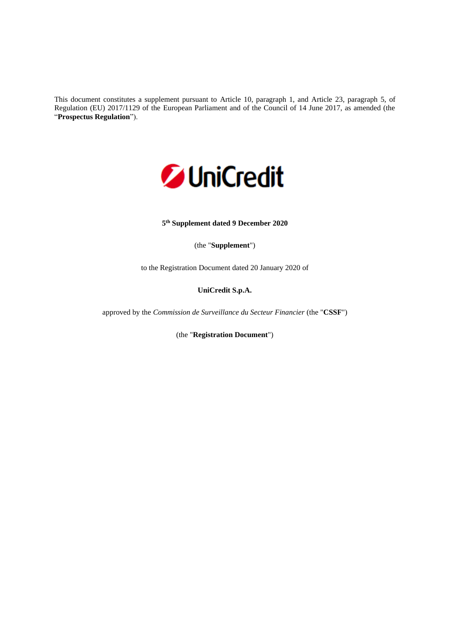This document constitutes a supplement pursuant to Article 10, paragraph 1, and Article 23, paragraph 5, of Regulation (EU) 2017/1129 of the European Parliament and of the Council of 14 June 2017, as amended (the "**Prospectus Regulation**").



#### **5 th Supplement dated 9 December 2020**

(the "**Supplement**")

to the Registration Document dated 20 January 2020 of

## **UniCredit S.p.A.**

approved by the *Commission de Surveillance du Secteur Financier* (the "**CSSF**")

(the "**Registration Document**")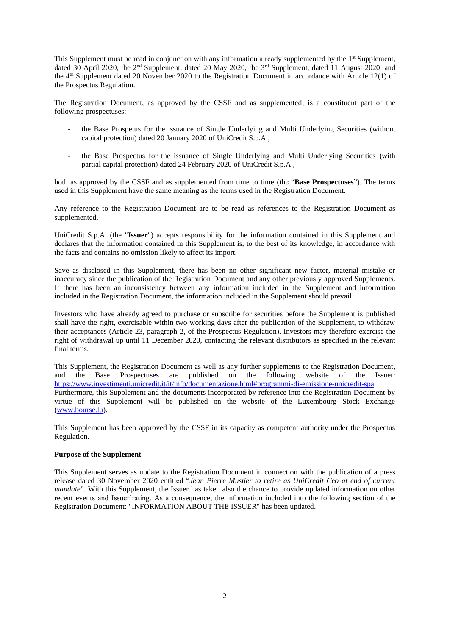This Supplement must be read in conjunction with any information already supplemented by the 1<sup>st</sup> Supplement, dated 30 April 2020, the 2<sup>nd</sup> Supplement, dated 20 May 2020, the 3<sup>rd</sup> Supplement, dated 11 August 2020, and the 4th Supplement dated 20 November 2020 to the Registration Document in accordance with Article 12(1) of the Prospectus Regulation.

The Registration Document, as approved by the CSSF and as supplemented, is a constituent part of the following prospectuses:

- the Base Prospetus for the issuance of Single Underlying and Multi Underlying Securities (without capital protection) dated 20 January 2020 of UniCredit S.p.A.,
- the Base Prospectus for the issuance of Single Underlying and Multi Underlying Securities (with partial capital protection) dated 24 February 2020 of UniCredit S.p.A.,

both as approved by the CSSF and as supplemented from time to time (the "**Base Prospectuses**"). The terms used in this Supplement have the same meaning as the terms used in the Registration Document.

Any reference to the Registration Document are to be read as references to the Registration Document as supplemented.

UniCredit S.p.A. (the "**Issuer**") accepts responsibility for the information contained in this Supplement and declares that the information contained in this Supplement is, to the best of its knowledge, in accordance with the facts and contains no omission likely to affect its import.

Save as disclosed in this Supplement, there has been no other significant new factor, material mistake or inaccuracy since the publication of the Registration Document and any other previously approved Supplements. If there has been an inconsistency between any information included in the Supplement and information included in the Registration Document, the information included in the Supplement should prevail.

Investors who have already agreed to purchase or subscribe for securities before the Supplement is published shall have the right, exercisable within two working days after the publication of the Supplement, to withdraw their acceptances (Article 23, paragraph 2, of the Prospectus Regulation). Investors may therefore exercise the right of withdrawal up until 11 December 2020, contacting the relevant distributors as specified in the relevant final terms.

This Supplement, the Registration Document as well as any further supplements to the Registration Document, and the Base Prospectuses are published on the following website of the Issuer: [https://www.investimenti.unicredit.it/it/info/documentazione.html#programmi-di-emissione-unicredit-spa.](https://www.investimenti.unicredit.it/it/info/documentazione.html#programmi-di-emissione-unicredit-spa) Furthermore, this Supplement and the documents incorporated by reference into the Registration Document by virtue of this Supplement will be published on the website of the Luxembourg Stock Exchange [\(www.bourse.lu\)](http://www.bourse.lu/).

This Supplement has been approved by the CSSF in its capacity as competent authority under the Prospectus Regulation.

# **Purpose of the Supplement**

This Supplement serves as update to the Registration Document in connection with the publication of a press release dated 30 November 2020 entitled "*Jean Pierre Mustier to retire as UniCredit Ceo at end of current mandate*". With this Supplement, the Issuer has taken also the chance to provide updated information on other recent events and Issuer'rating. As a consequence, the information included into the following section of the Registration Document: "INFORMATION ABOUT THE ISSUER" has been updated.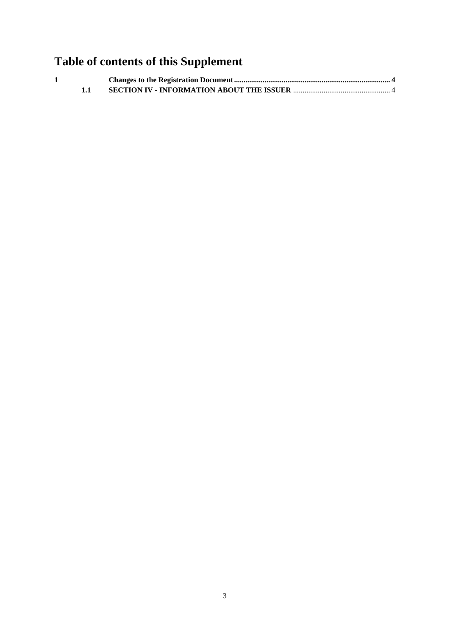# **Table of contents of this Supplement**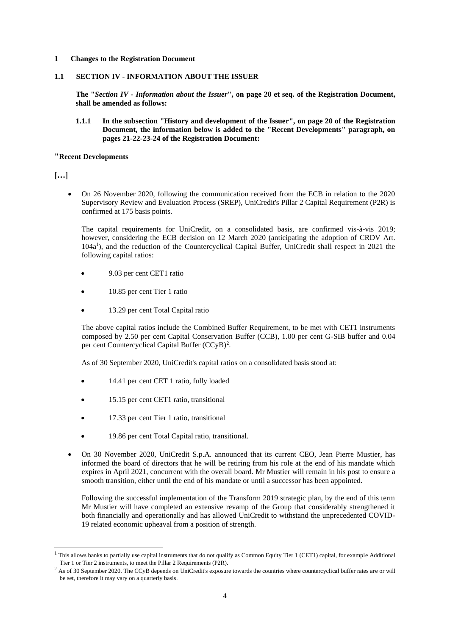#### <span id="page-3-0"></span>**1 Changes to the Registration Document**

#### <span id="page-3-1"></span>**1.1 SECTION IV - INFORMATION ABOUT THE ISSUER**

**The "***Section IV - Information about the Issuer***", on page 20 et seq. of the Registration Document, shall be amended as follows:**

**1.1.1 In the subsection "History and development of the Issuer", on page 20 of the Registration Document, the information below is added to the "Recent Developments" paragraph, on pages 21-22-23-24 of the Registration Document:**

#### **"Recent Developments**

**[…]**

• On 26 November 2020, following the communication received from the ECB in relation to the 2020 Supervisory Review and Evaluation Process (SREP), UniCredit's Pillar 2 Capital Requirement (P2R) is confirmed at 175 basis points.

The capital requirements for UniCredit, on a consolidated basis, are confirmed vis-à-vis 2019; however, considering the ECB decision on 12 March 2020 (anticipating the adoption of CRDV Art. 104a<sup>1</sup>), and the reduction of the Countercyclical Capital Buffer, UniCredit shall respect in 2021 the following capital ratios:

- 9.03 per cent CET1 ratio
- 10.85 per cent Tier 1 ratio
- 13.29 per cent Total Capital ratio

The above capital ratios include the Combined Buffer Requirement, to be met with CET1 instruments composed by 2.50 per cent Capital Conservation Buffer (CCB), 1.00 per cent G-SIB buffer and 0.04 per cent Countercyclical Capital Buffer (CCyB)<sup>2</sup>.

As of 30 September 2020, UniCredit's capital ratios on a consolidated basis stood at:

- 14.41 per cent CET 1 ratio, fully loaded
- 15.15 per cent CET1 ratio, transitional
- 17.33 per cent Tier 1 ratio, transitional
- 19.86 per cent Total Capital ratio, transitional.
- On 30 November 2020, UniCredit S.p.A. announced that its current CEO, Jean Pierre Mustier, has informed the board of directors that he will be retiring from his role at the end of his mandate which expires in April 2021, concurrent with the overall board. Mr Mustier will remain in his post to ensure a smooth transition, either until the end of his mandate or until a successor has been appointed.

Following the successful implementation of the Transform 2019 strategic plan, by the end of this term Mr Mustier will have completed an extensive revamp of the Group that considerably strengthened it both financially and operationally and has allowed UniCredit to withstand the unprecedented COVID-19 related economic upheaval from a position of strength.

<sup>&</sup>lt;sup>1</sup> This allows banks to partially use capital instruments that do not qualify as Common Equity Tier 1 (CET1) capital, for example Additional Tier 1 or Tier 2 instruments, to meet the Pillar 2 Requirements (P2R).

<sup>&</sup>lt;sup>2</sup> As of 30 September 2020. The CCyB depends on UniCredit's exposure towards the countries where countercyclical buffer rates are or will be set, therefore it may vary on a quarterly basis.